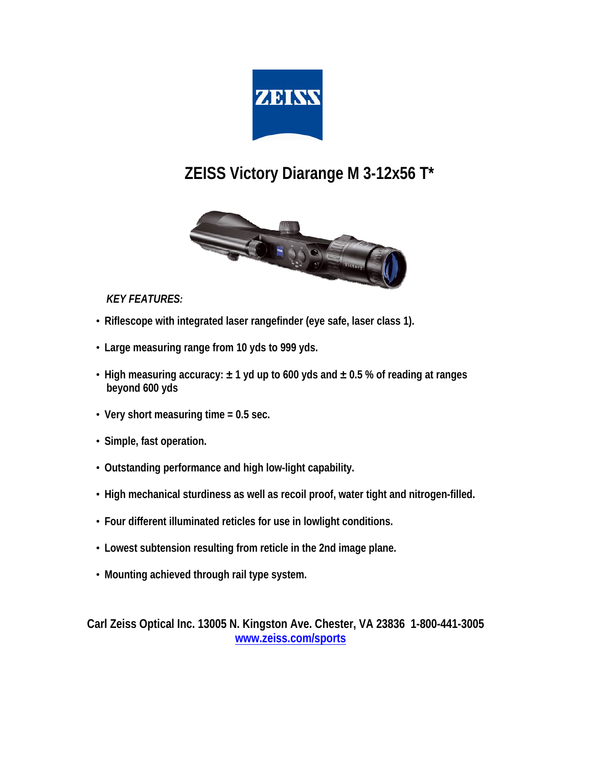

## **ZEISS Victory Diarange M 3-12x56 T\***



## *KEY FEATURES:*

- **Riflescope with integrated laser rangefinder (eye safe, laser class 1).**
- **Large measuring range from 10 yds to 999 yds.**
- **High measuring accuracy: ± 1 yd up to 600 yds and ± 0.5 % of reading at ranges beyond 600 yds**
- **Very short measuring time = 0.5 sec.**
- **Simple, fast operation.**
- **Outstanding performance and high low-light capability.**
- **High mechanical sturdiness as well as recoil proof, water tight and nitrogen-filled.**
- **Four different illuminated reticles for use in lowlight conditions.**
- **Lowest subtension resulting from reticle in the 2nd image plane.**
- **Mounting achieved through rail type system.**

**Carl Zeiss Optical Inc. 13005 N. Kingston Ave. Chester, VA 23836 1-800-441-3005 [www.zeiss.com/sports](http://www.zeiss.com/sports)**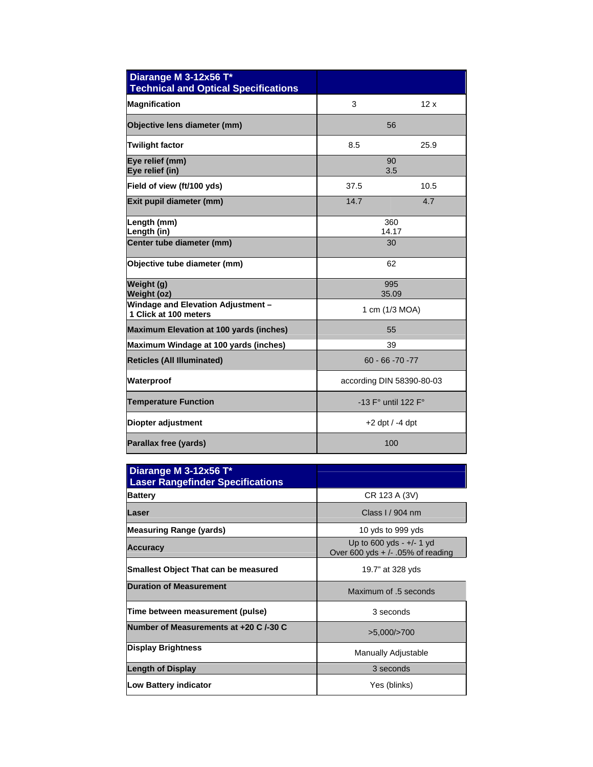| Diarange M 3-12x56 T*<br><b>Technical and Optical Specifications</b> |                                       |      |
|----------------------------------------------------------------------|---------------------------------------|------|
| <b>Magnification</b>                                                 | 3                                     | 12x  |
| Objective lens diameter (mm)                                         | 56                                    |      |
| <b>Twilight factor</b>                                               | 8.5                                   | 25.9 |
| Eye relief (mm)<br>Eye relief (in)                                   | 90<br>3.5                             |      |
| Field of view (ft/100 yds)                                           | 37.5                                  | 10.5 |
| Exit pupil diameter (mm)                                             | 14.7                                  | 4.7  |
| Length (mm)<br>Length (in)                                           | 360<br>14.17                          |      |
| Center tube diameter (mm)                                            | 30                                    |      |
| Objective tube diameter (mm)                                         | 62                                    |      |
| Weight (g)<br>Weight (oz)                                            | 995<br>35.09                          |      |
| Windage and Elevation Adjustment -<br>1 Click at 100 meters          | 1 cm (1/3 MOA)                        |      |
| <b>Maximum Elevation at 100 yards (inches)</b>                       | 55                                    |      |
| Maximum Windage at 100 yards (inches)                                | 39                                    |      |
| <b>Reticles (All Illuminated)</b>                                    | $60 - 66 - 70 - 77$                   |      |
| Waterproof                                                           | according DIN 58390-80-03             |      |
| <b>Temperature Function</b>                                          | -13 $F^{\circ}$ until 122 $F^{\circ}$ |      |
| Diopter adjustment                                                   | $+2$ dpt $/ -4$ dpt                   |      |
| Parallax free (yards)                                                | 100                                   |      |

| Diarange M 3-12x56 T*<br><b>Laser Rangefinder Specifications</b> |                                                                   |  |
|------------------------------------------------------------------|-------------------------------------------------------------------|--|
| <b>Battery</b>                                                   | CR 123 A (3V)                                                     |  |
| Laser                                                            | Class I / 904 nm                                                  |  |
| <b>Measuring Range (yards)</b>                                   | 10 yds to 999 yds                                                 |  |
| <b>Accuracy</b>                                                  | Up to $600$ yds - $+/- 1$ yd<br>Over 600 yds + /- .05% of reading |  |
| Smallest Object That can be measured                             | 19.7" at 328 yds                                                  |  |
| <b>Duration of Measurement</b>                                   | Maximum of .5 seconds                                             |  |
| Time between measurement (pulse)                                 | 3 seconds                                                         |  |
| Number of Measurements at +20 C /-30 C                           | $>5,000/$ $>700$                                                  |  |
| Display Brightness                                               | <b>Manually Adjustable</b>                                        |  |
| <b>Length of Display</b>                                         | 3 seconds                                                         |  |
| Low Battery indicator                                            | Yes (blinks)                                                      |  |